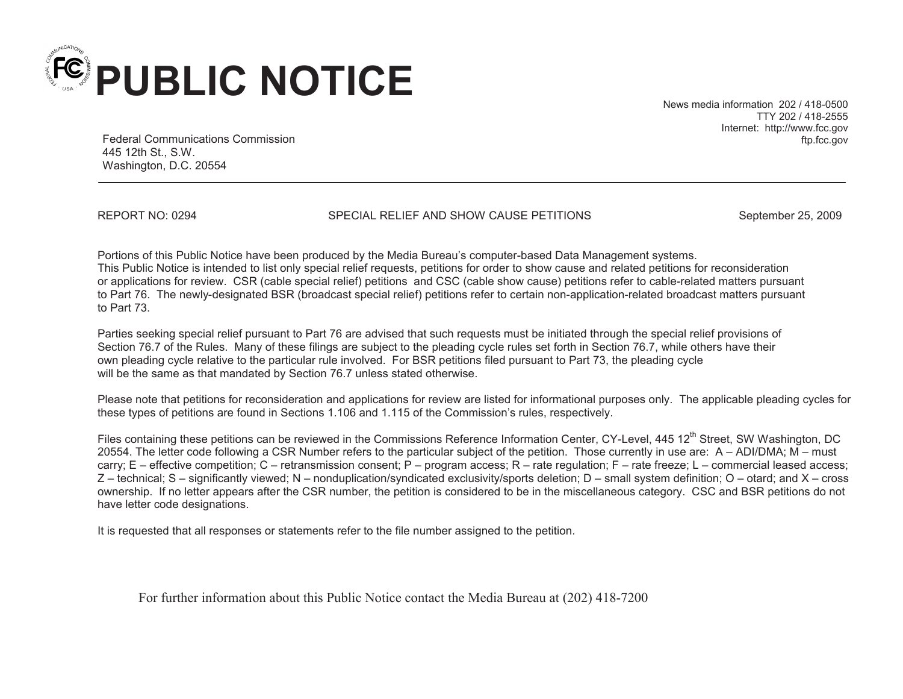

News media information 202 / 418-0500 TTY 202 / 418-2555 Internet: http://www.fcc.gov ftp.fcc.gov

Federal Communications Commission 445 12th St., S.W. Washington, D.C. 20554

REPORT NO: 0294 SPECIAL RELIEF AND SHOW CAUSE PETITIONS September 25, 2009

Portions of this Public Notice have been produced by the Media Bureau's computer-based Data Management systems. This Public Notice is intended to list only special relief requests, petitions for order to show cause and related petitions for reconsideration or applications for review. CSR (cable special relief) petitions and CSC (cable show cause) petitions refer to cable-related matters pursuant to Part 76. The newly-designated BSR (broadcast special relief) petitions refer to certain non-application-related broadcast matters pursuant to Part 73.

Parties seeking special relief pursuant to Part 76 are advised that such requests must be initiated through the special relief provisions of Section 76.7 of the Rules. Many of these filings are subject to the pleading cycle rules set forth in Section 76.7, while others have their own pleading cycle relative to the particular rule involved. For BSR petitions filed pursuant to Part 73, the pleading cycle will be the same as that mandated by Section 76.7 unless stated otherwise.

Please note that petitions for reconsideration and applications for review are listed for informational purposes only. The applicable pleading cycles for these types of petitions are found in Sections 1.106 and 1.115 of the Commission's rules, respectively.

Files containing these petitions can be reviewed in the Commissions Reference Information Center, CY-Level, 445 12<sup>th</sup> Street, SW Washington, DC 20554. The letter code following a CSR Number refers to the particular subject of the petition. Those currently in use are: A – ADI/DMA; M – must carry; E – effective competition; C – retransmission consent; P – program access; R – rate regulation; F – rate freeze; L – commercial leased access; Z – technical; S – significantly viewed; N – nonduplication/syndicated exclusivity/sports deletion; D – small system definition; O – otard; and X – cross ownership. If no letter appears after the CSR number, the petition is considered to be in the miscellaneous category. CSC and BSR petitions do not have letter code designations.

It is requested that all responses or statements refer to the file number assigned to the petition.

For further information about this Public Notice contact the Media Bureau at (202) 418-7200